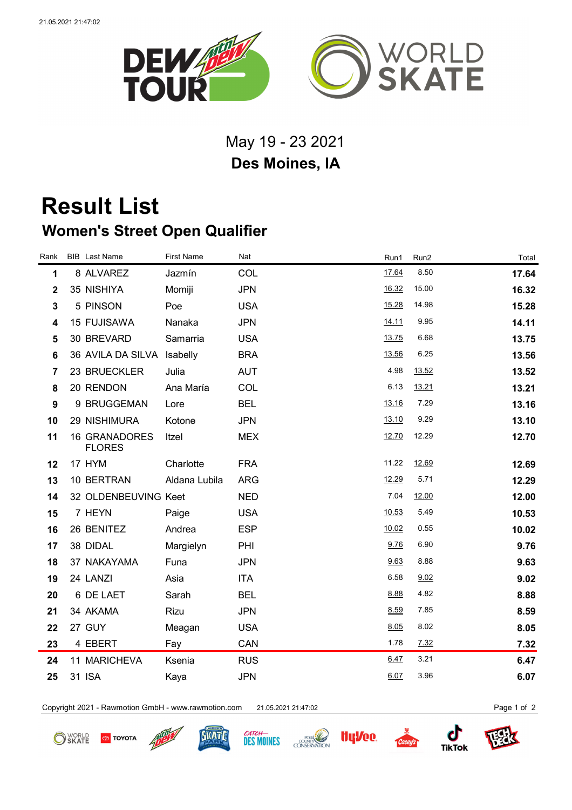

May 19 - 23 2021 **Des Moines, IA**

## **Result List Women's Street Open Qualifier**

| Rank                    | <b>BIB</b> Last Name                  | <b>First Name</b> | Nat        | Run1  | Run <sub>2</sub> | Total |
|-------------------------|---------------------------------------|-------------------|------------|-------|------------------|-------|
| 1                       | 8 ALVAREZ                             | Jazmín            | COL        | 17.64 | 8.50             | 17.64 |
| $\mathbf 2$             | 35 NISHIYA                            | Momiji            | <b>JPN</b> | 16.32 | 15.00            | 16.32 |
| $\mathbf{3}$            | 5 PINSON                              | Poe               | <b>USA</b> | 15.28 | 14.98            | 15.28 |
| $\overline{\mathbf{4}}$ | 15 FUJISAWA                           | Nanaka            | <b>JPN</b> | 14.11 | 9.95             | 14.11 |
| 5                       | 30 BREVARD                            | Samarria          | <b>USA</b> | 13.75 | 6.68             | 13.75 |
| $6\phantom{1}$          | 36 AVILA DA SILVA                     | Isabelly          | <b>BRA</b> | 13.56 | 6.25             | 13.56 |
| $\overline{7}$          | 23 BRUECKLER                          | Julia             | <b>AUT</b> | 4.98  | 13.52            | 13.52 |
| 8                       | 20 RENDON                             | Ana María         | COL        | 6.13  | 13.21            | 13.21 |
| $\boldsymbol{9}$        | 9 BRUGGEMAN                           | Lore              | <b>BEL</b> | 13.16 | 7.29             | 13.16 |
| 10                      | 29 NISHIMURA                          | Kotone            | <b>JPN</b> | 13.10 | 9.29             | 13.10 |
| 11                      | <b>16 GRANADORES</b><br><b>FLORES</b> | Itzel             | <b>MEX</b> | 12.70 | 12.29            | 12.70 |
| 12                      | 17 HYM                                | Charlotte         | <b>FRA</b> | 11.22 | 12.69            | 12.69 |
| 13                      | 10 BERTRAN                            | Aldana Lubila     | <b>ARG</b> | 12.29 | 5.71             | 12.29 |
| 14                      | 32 OLDENBEUVING Keet                  |                   | <b>NED</b> | 7.04  | 12.00            | 12.00 |
| 15                      | 7 HEYN                                | Paige             | <b>USA</b> | 10.53 | 5.49             | 10.53 |
| 16                      | 26 BENITEZ                            | Andrea            | <b>ESP</b> | 10.02 | 0.55             | 10.02 |
| 17                      | 38 DIDAL                              | Margielyn         | PHI        | 9.76  | 6.90             | 9.76  |
| 18                      | 37 NAKAYAMA                           | Funa              | <b>JPN</b> | 9.63  | 8.88             | 9.63  |
| 19                      | 24 LANZI                              | Asia              | <b>ITA</b> | 6.58  | 9.02             | 9.02  |
| 20                      | 6 DE LAET                             | Sarah             | <b>BEL</b> | 8.88  | 4.82             | 8.88  |
| 21                      | 34 AKAMA                              | Rizu              | <b>JPN</b> | 8.59  | 7.85             | 8.59  |
| 22                      | 27 GUY                                | Meagan            | <b>USA</b> | 8.05  | 8.02             | 8.05  |
| 23                      | 4 EBERT                               | Fay               | CAN        | 1.78  | 7.32             | 7.32  |
| 24                      | 11 MARICHEVA                          | Ksenia            | <b>RUS</b> | 6.47  | 3.21             | 6.47  |
| 25                      | 31 ISA                                | Kaya              | <b>JPN</b> | 6.07  | 3.96             | 6.07  |

Copyright 2021 - Rawmotion GmbH - www.rawmotion.com 21.05.2021 21:47:02 Page 1 of 2

**O** SKATE **TOYOTA**